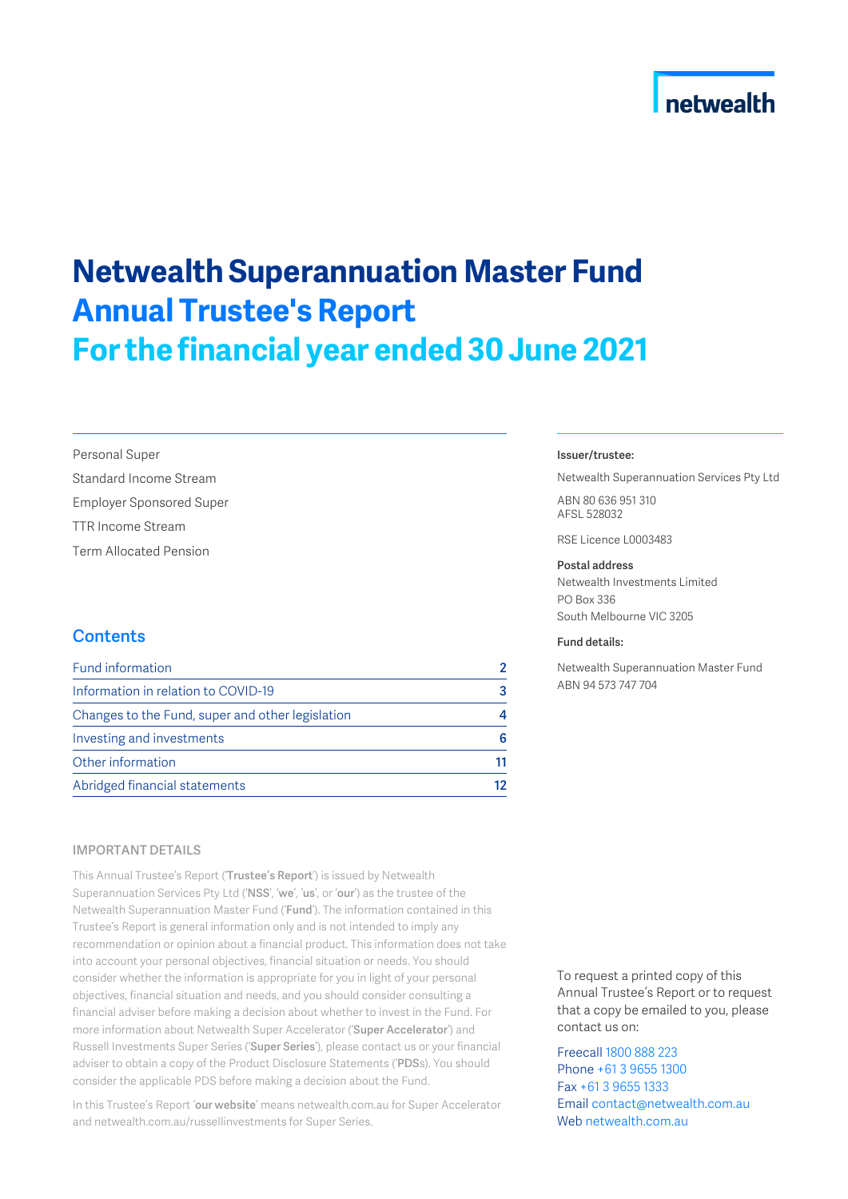## netwealth

# **Netwealth Superannuation Master Fund Annual Trustee's Report For the financial year ended 30 June 2021**

Personal Super

Standard Income Stream

Employer Sponsored Super

TTR Income Stream

Term Allocated Pension

## **Contents**

| Fund information                                 |    |
|--------------------------------------------------|----|
| Information in relation to COVID-19              | 3  |
| Changes to the Fund, super and other legislation |    |
| Investing and investments                        | ĥ  |
| Other information                                | 11 |
| Abridged financial statements                    | 12 |

### IMPORTANT DETAILS

This Annual Trustee's Report ('Trustee's Report') is issued by Netwealth Superannuation Services Pty Ltd ('NSS', 'we', 'us', or 'our') as the trustee of the Netwealth Superannuation Master Fund ('Fund'). The information contained in this Trustee's Report is general information only and is not intended to imply any recommendation or opinion about a financial product. This information does not take into account your personal objectives, financial situation or needs. You should consider whether the information is appropriate for you in light of your personal objectives, financial situation and needs, and you should consider consulting a financial adviser before making a decision about whether to invest in the Fund. For more information about Netwealth Super Accelerator ('Super Accelerator') and Russell Investments Super Series ('Super Series'), please contact us or your financial adviser to obtain a copy of the Product Disclosure Statements ('PDSs). You should consider the applicable PDS before making a decision about the Fund.

In this Trustee's Report 'our website' means netwealth.com.au for Super Accelerator and netwealth.com.au/russellinvestments for Super Series.

#### Issuer/trustee:

Netwealth Superannuation Services Pty Ltd ABN 80 636 951 310 AFSL 528032

RSE Licence L0003483

#### Postal address

Netwealth Investments Limited PO Box 336 South Melbourne VIC 3205

#### Fund details:

Netwealth Superannuation Master Fund ABN 94 573 747 704

To request a printed copy of this Annual Trustee's Report or to request that a copy be emailed to you, please contact us on:

Freecall 1800 888 223 Phone +61 3 9655 1300 Fax +61 3 9655 1333 Email contact@netwealth.com.au Web netwealth.com.au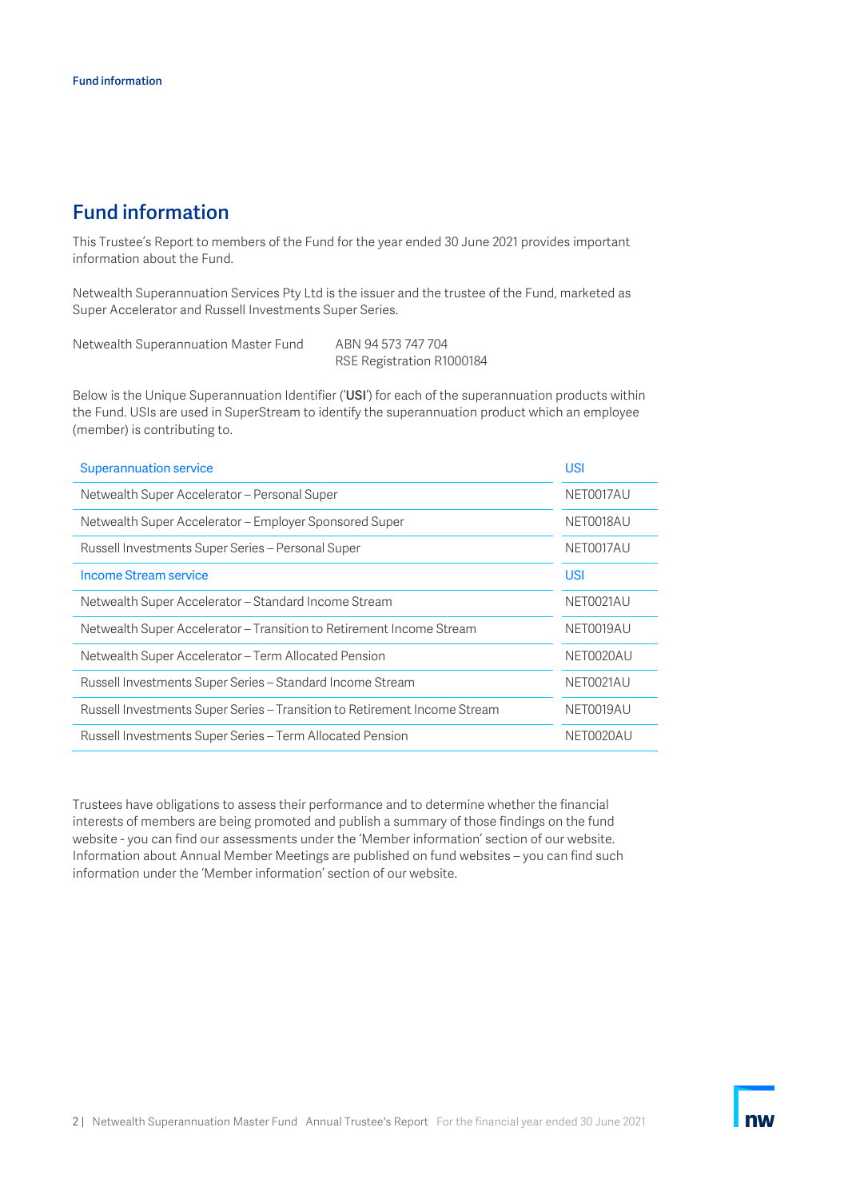## <span id="page-1-0"></span>Fund information

This Trustee's Report to members of the Fund for the year ended 30 June 2021 provides important information about the Fund.

Netwealth Superannuation Services Pty Ltd is the issuer and the trustee of the Fund, marketed as Super Accelerator and Russell Investments Super Series.

Netwealth Superannuation Master Fund ABN 94 573 747 704 RSE Registration R1000184

Below is the Unique Superannuation Identifier ('USI') for each of the superannuation products within the Fund. USIs are used in SuperStream to identify the superannuation product which an employee (member) is contributing to.

| <b>Superannuation service</b>                                             | <b>USI</b> |
|---------------------------------------------------------------------------|------------|
| Netwealth Super Accelerator - Personal Super                              | NET0017AU  |
| Netwealth Super Accelerator - Employer Sponsored Super                    | NET0018AU  |
| Russell Investments Super Series - Personal Super                         | NET0017AU  |
| Income Stream service                                                     | <b>USI</b> |
| Netwealth Super Accelerator - Standard Income Stream                      | NET0021AU  |
| Netwealth Super Accelerator – Transition to Retirement Income Stream      | NET0019AU  |
| Netwealth Super Accelerator – Term Allocated Pension                      | NET0020AU  |
| Russell Investments Super Series - Standard Income Stream                 | NET0021AU  |
| Russell Investments Super Series - Transition to Retirement Income Stream | NET0019AU  |
| Russell Investments Super Series – Term Allocated Pension                 | NFT0020AU  |

Trustees have obligations to assess their performance and to determine whether the financial interests of members are being promoted and publish a summary of those findings on the fund website - you can find our assessments under the 'Member information' section of our website. Information about Annual Member Meetings are published on fund websites – you can find such information under the 'Member information' section of our website.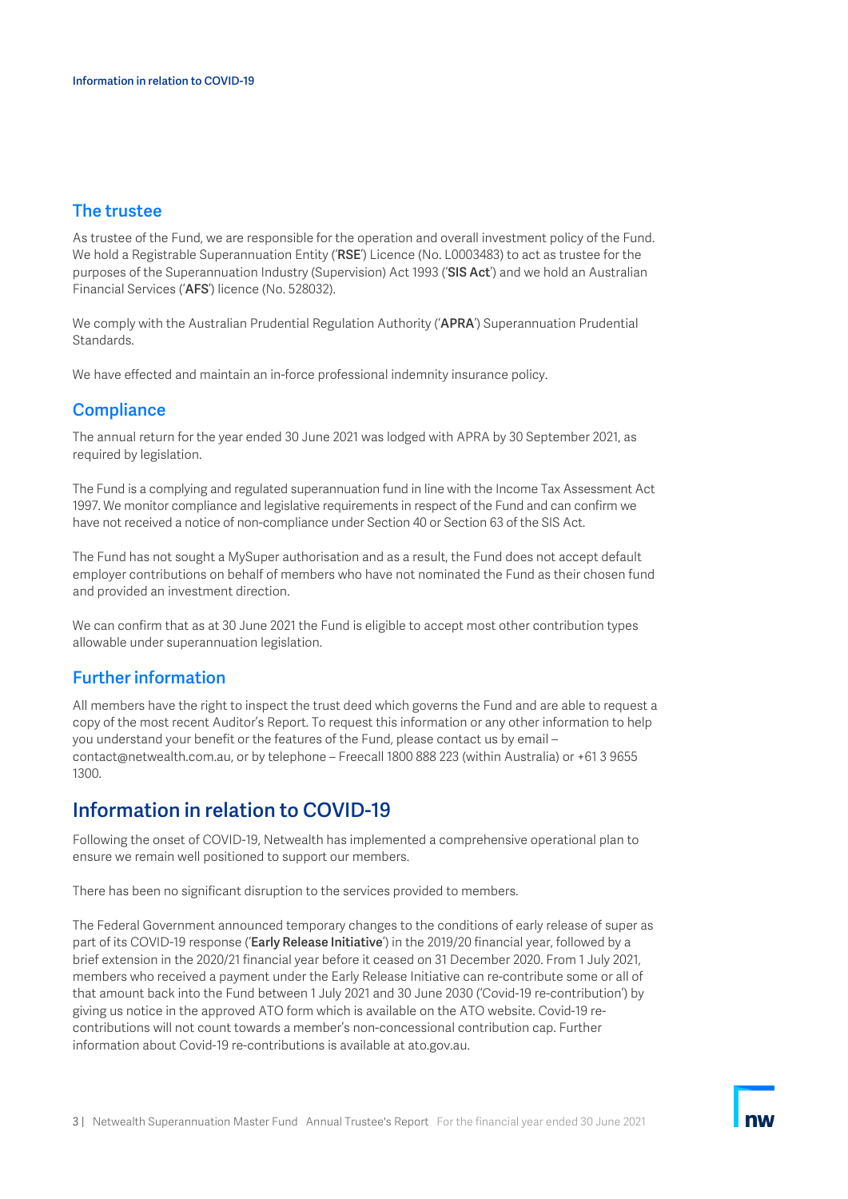## The trustee

As trustee of the Fund, we are responsible for the operation and overall investment policy of the Fund. We hold a Registrable Superannuation Entity ('RSE') Licence (No. L0003483) to act as trustee for the purposes of the Superannuation Industry (Supervision) Act 1993 ('SIS Act') and we hold an Australian Financial Services ('AFS') licence (No. 528032).

We comply with the Australian Prudential Regulation Authority ('APRA') Superannuation Prudential Standards.

We have effected and maintain an in-force professional indemnity insurance policy.

### **Compliance**

The annual return for the year ended 30 June 2021 was lodged with APRA by 30 September 2021, as required by legislation.

The Fund is a complying and regulated superannuation fund in line with the Income Tax Assessment Act 1997. We monitor compliance and legislative requirements in respect of the Fund and can confirm we have not received a notice of non-compliance under Section 40 or Section 63 of the SIS Act.

The Fund has not sought a MySuper authorisation and as a result, the Fund does not accept default employer contributions on behalf of members who have not nominated the Fund as their chosen fund and provided an investment direction.

We can confirm that as at 30 June 2021 the Fund is eligible to accept most other contribution types allowable under superannuation legislation.

## Further information

All members have the right to inspect the trust deed which governs the Fund and are able to request a copy of the most recent Auditor's Report. To request this information or any other information to help you understand your benefit or the features of the Fund, please contact us by email – contact@netwealth.com.au, or by telephone – Freecall 1800 888 223 (within Australia) or +61 3 9655 1300.

## <span id="page-2-0"></span>Information in relation to COVID-19

Following the onset of COVID-19, Netwealth has implemented a comprehensive operational plan to ensure we remain well positioned to support our members.

There has been no significant disruption to the services provided to members.

The Federal Government announced temporary changes to the conditions of early release of super as part of its COVID-19 response ('Early Release Initiative') in the 2019/20 financial year, followed by a brief extension in the 2020/21 financial year before it ceased on 31 December 2020. From 1 July 2021, members who received a payment under the Early Release Initiative can re-contribute some or all of that amount back into the Fund between 1 July 2021 and 30 June 2030 ('Covid-19 re-contribution') by giving us notice in the approved ATO form which is available on the ATO website. Covid-19 recontributions will not count towards a member's non-concessional contribution cap. Further information about Covid-19 re-contributions is available at ato.gov.au.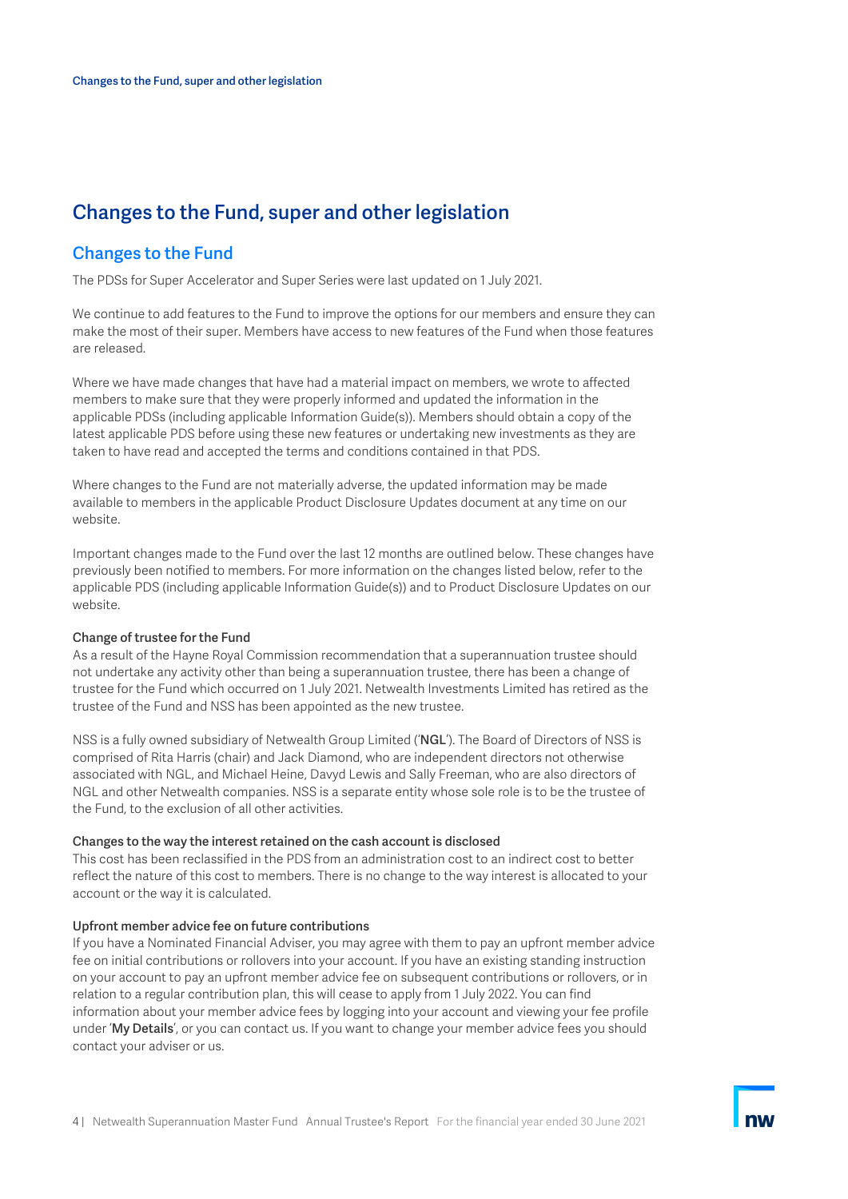## <span id="page-3-0"></span>Changes to the Fund, super and other legislation

### Changes to the Fund

The PDSs for Super Accelerator and Super Series were last updated on 1 July 2021.

We continue to add features to the Fund to improve the options for our members and ensure they can make the most of their super. Members have access to new features of the Fund when those features are released.

Where we have made changes that have had a material impact on members, we wrote to affected members to make sure that they were properly informed and updated the information in the applicable PDSs (including applicable Information Guide(s)). Members should obtain a copy of the latest applicable PDS before using these new features or undertaking new investments as they are taken to have read and accepted the terms and conditions contained in that PDS.

Where changes to the Fund are not materially adverse, the updated information may be made available to members in the applicable Product Disclosure Updates document at any time on our website.

Important changes made to the Fund over the last 12 months are outlined below. These changes have previously been notified to members. For more information on the changes listed below, refer to the applicable PDS (including applicable Information Guide(s)) and to Product Disclosure Updates on our website.

#### Change of trustee for the Fund

As a result of the Hayne Royal Commission recommendation that a superannuation trustee should not undertake any activity other than being a superannuation trustee, there has been a change of trustee for the Fund which occurred on 1 July 2021. Netwealth Investments Limited has retired as the trustee of the Fund and NSS has been appointed as the new trustee.

NSS is a fully owned subsidiary of Netwealth Group Limited ('NGL'). The Board of Directors of NSS is comprised of Rita Harris (chair) and Jack Diamond, who are independent directors not otherwise associated with NGL, and Michael Heine, Davyd Lewis and Sally Freeman, who are also directors of NGL and other Netwealth companies. NSS is a separate entity whose sole role is to be the trustee of the Fund, to the exclusion of all other activities.

#### Changes to the way the interest retained on the cash account is disclosed

This cost has been reclassified in the PDS from an administration cost to an indirect cost to better reflect the nature of this cost to members. There is no change to the way interest is allocated to your account or the way it is calculated.

#### Upfront member advice fee on future contributions

If you have a Nominated Financial Adviser, you may agree with them to pay an upfront member advice fee on initial contributions or rollovers into your account. If you have an existing standing instruction on your account to pay an upfront member advice fee on subsequent contributions or rollovers, or in relation to a regular contribution plan, this will cease to apply from 1 July 2022. You can find information about your member advice fees by logging into your account and viewing your fee profile under 'My Details', or you can contact us. If you want to change your member advice fees you should contact your adviser or us.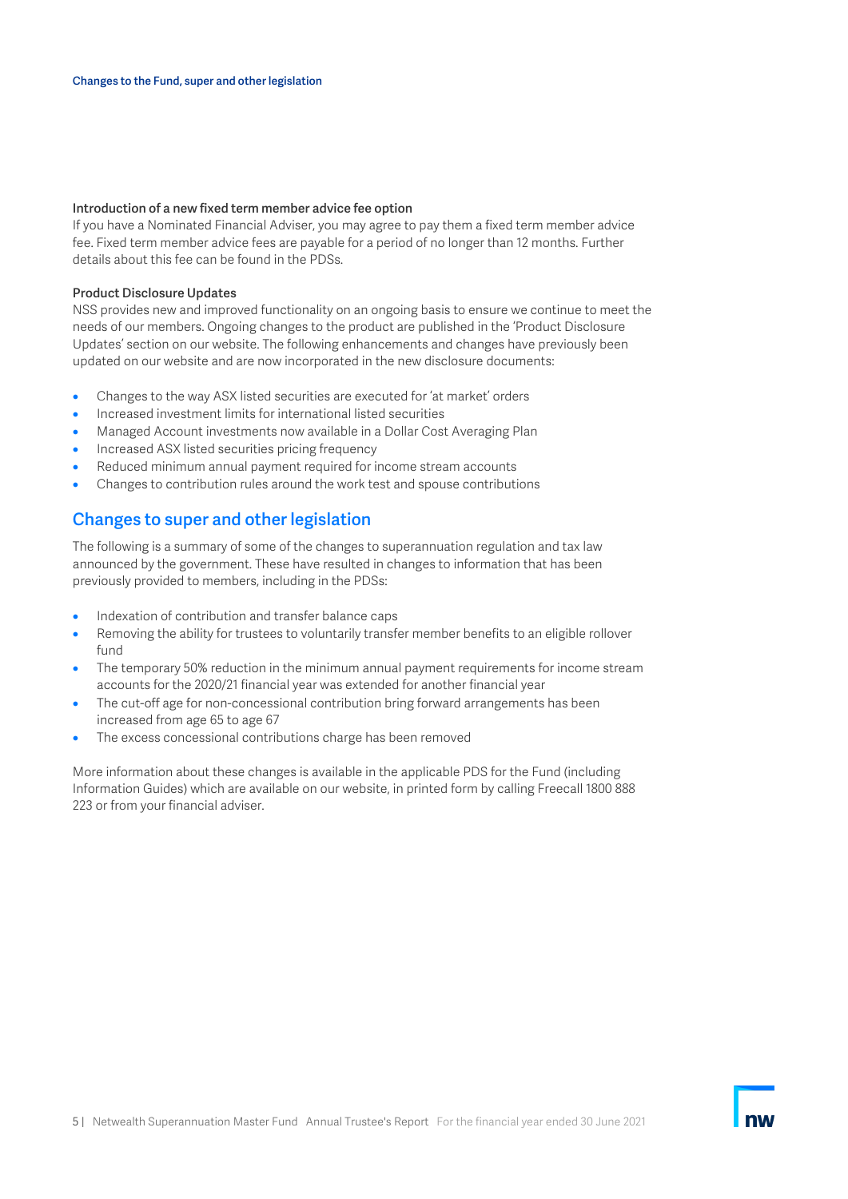#### Introduction of a new fixed term member advice fee option

If you have a Nominated Financial Adviser, you may agree to pay them a fixed term member advice fee. Fixed term member advice fees are payable for a period of no longer than 12 months. Further details about this fee can be found in the PDSs.

#### Product Disclosure Updates

NSS provides new and improved functionality on an ongoing basis to ensure we continue to meet the needs of our members. Ongoing changes to the product are published in the 'Product Disclosure Updates' section on our website. The following enhancements and changes have previously been updated on our website and are now incorporated in the new disclosure documents:

- Changes to the way ASX listed securities are executed for 'at market' orders
- Increased investment limits for international listed securities
- Managed Account investments now available in a Dollar Cost Averaging Plan
- Increased ASX listed securities pricing frequency
- Reduced minimum annual payment required for income stream accounts
- Changes to contribution rules around the work test and spouse contributions

## Changes to super and other legislation

The following is a summary of some of the changes to superannuation regulation and tax law announced by the government. These have resulted in changes to information that has been previously provided to members, including in the PDSs:

- Indexation of contribution and transfer balance caps
- Removing the ability for trustees to voluntarily transfer member benefits to an eligible rollover fund
- The temporary 50% reduction in the minimum annual payment requirements for income stream accounts for the 2020/21 financial year was extended for another financial year
- The cut-off age for non-concessional contribution bring forward arrangements has been increased from age 65 to age 67
- The excess concessional contributions charge has been removed

More information about these changes is available in the applicable PDS for the Fund (including Information Guides) which are available on our website, in printed form by calling Freecall 1800 888 223 or from your financial adviser.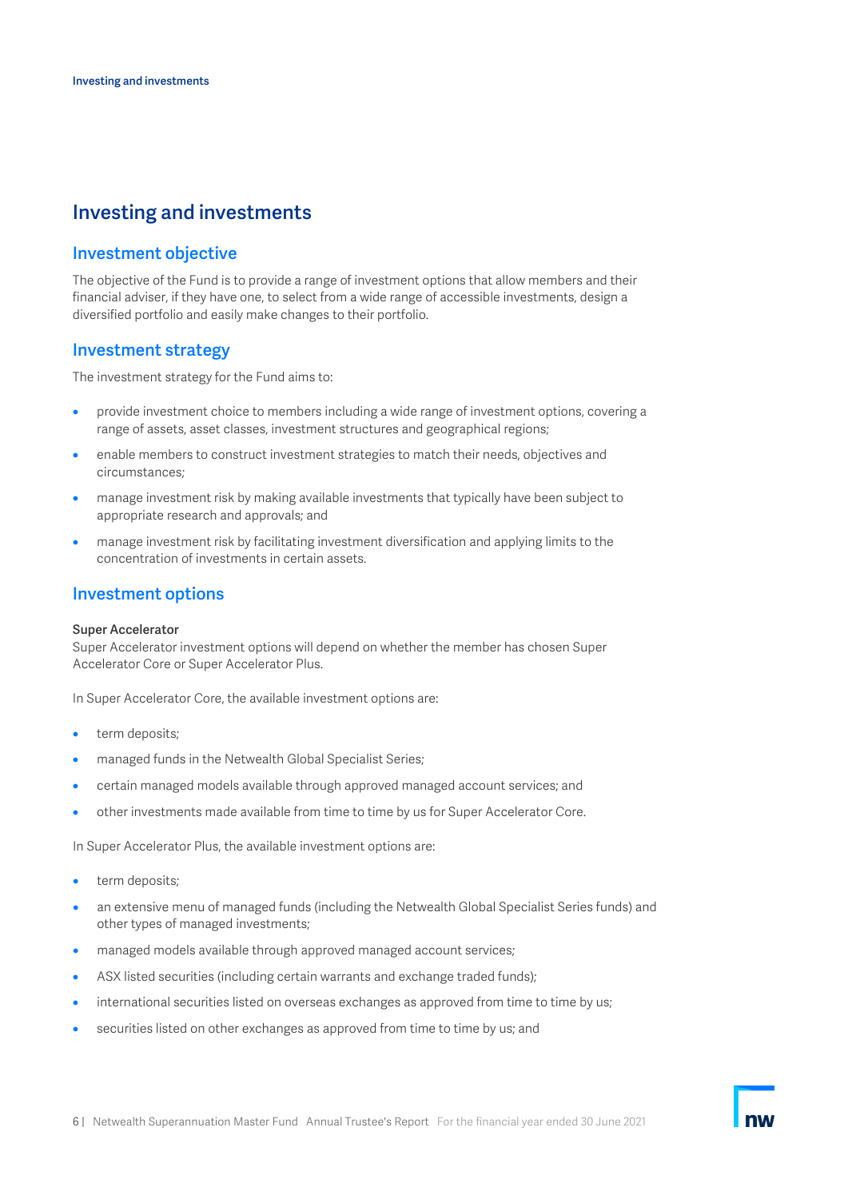## <span id="page-5-0"></span>Investing and investments

### Investment objective

The objective of the Fund is to provide a range of investment options that allow members and their financial adviser, if they have one, to select from a wide range of accessible investments, design a diversified portfolio and easily make changes to their portfolio.

### Investment strategy

The investment strategy for the Fund aims to:

- provide investment choice to members including a wide range of investment options, covering a range of assets, asset classes, investment structures and geographical regions;
- enable members to construct investment strategies to match their needs, objectives and circumstances;
- manage investment risk by making available investments that typically have been subject to appropriate research and approvals; and
- manage investment risk by facilitating investment diversification and applying limits to the concentration of investments in certain assets.

### Investment options

#### Super Accelerator

Super Accelerator investment options will depend on whether the member has chosen Super Accelerator Core or Super Accelerator Plus.

In Super Accelerator Core, the available investment options are:

- term deposits;
- managed funds in the Netwealth Global Specialist Series;
- certain managed models available through approved managed account services; and
- other investments made available from time to time by us for Super Accelerator Core.

In Super Accelerator Plus, the available investment options are:

- term deposits;
- an extensive menu of managed funds (including the Netwealth Global Specialist Series funds) and other types of managed investments;
- managed models available through approved managed account services;
- ASX listed securities (including certain warrants and exchange traded funds);
- international securities listed on overseas exchanges as approved from time to time by us;
- securities listed on other exchanges as approved from time to time by us; and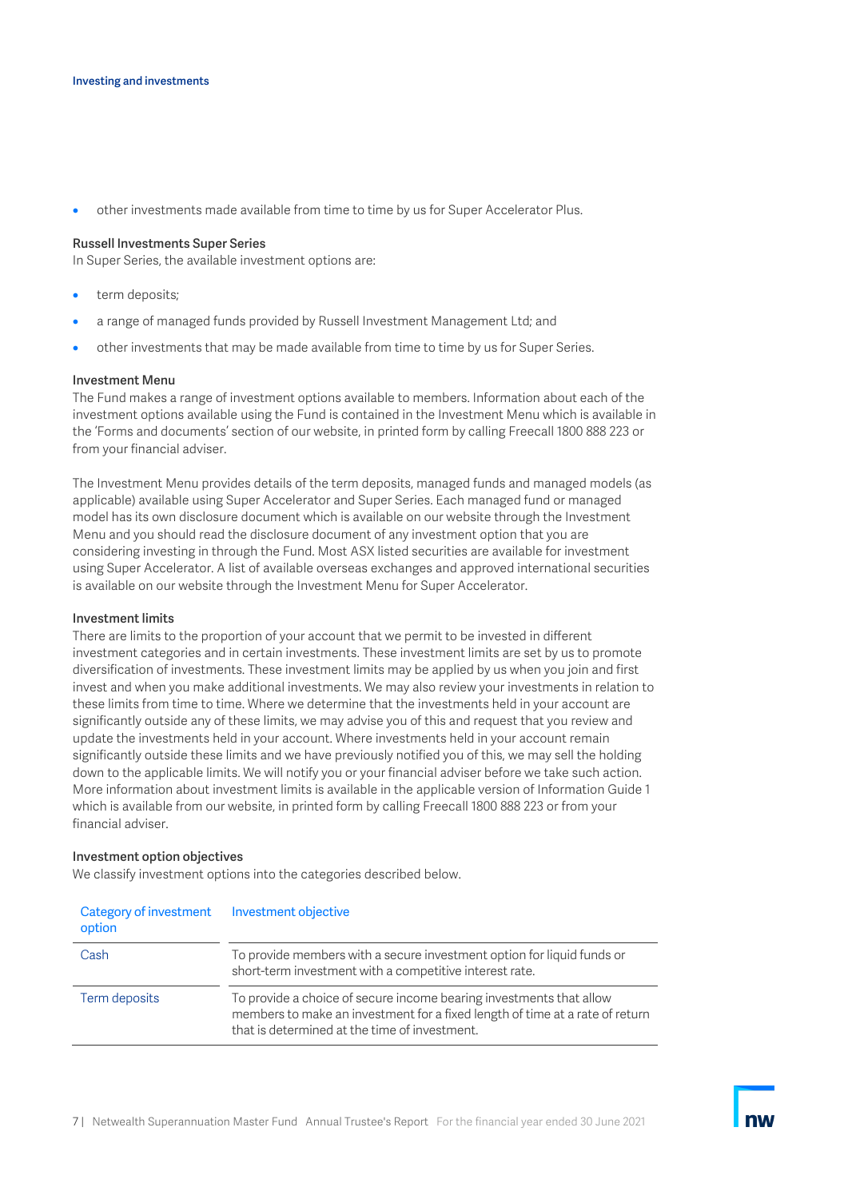• other investments made available from time to time by us for Super Accelerator Plus.

#### Russell Investments Super Series

In Super Series, the available investment options are:

- term deposits;
- a range of managed funds provided by Russell Investment Management Ltd; and
- other investments that may be made available from time to time by us for Super Series.

#### Investment Menu

The Fund makes a range of investment options available to members. Information about each of the investment options available using the Fund is contained in the Investment Menu which is available in the 'Forms and documents' section of our website, in printed form by calling Freecall 1800 888 223 or from your financial adviser.

The Investment Menu provides details of the term deposits, managed funds and managed models (as applicable) available using Super Accelerator and Super Series. Each managed fund or managed model has its own disclosure document which is available on our website through the Investment Menu and you should read the disclosure document of any investment option that you are considering investing in through the Fund. Most ASX listed securities are available for investment using Super Accelerator. A list of available overseas exchanges and approved international securities is available on our website through the Investment Menu for Super Accelerator.

#### Investment limits

There are limits to the proportion of your account that we permit to be invested in different investment categories and in certain investments. These investment limits are set by us to promote diversification of investments. These investment limits may be applied by us when you join and first invest and when you make additional investments. We may also review your investments in relation to these limits from time to time. Where we determine that the investments held in your account are significantly outside any of these limits, we may advise you of this and request that you review and update the investments held in your account. Where investments held in your account remain significantly outside these limits and we have previously notified you of this, we may sell the holding down to the applicable limits. We will notify you or your financial adviser before we take such action. More information about investment limits is available in the applicable version of Information Guide 1 which is available from our website, in printed form by calling Freecall 1800 888 223 or from your financial adviser.

#### Investment option objectives

We classify investment options into the categories described below.

| <b>Category of investment</b><br>option | Investment objective                                                                                                                                                                                 |
|-----------------------------------------|------------------------------------------------------------------------------------------------------------------------------------------------------------------------------------------------------|
| Cash                                    | To provide members with a secure investment option for liquid funds or<br>short-term investment with a competitive interest rate.                                                                    |
| Term deposits                           | To provide a choice of secure income bearing investments that allow<br>members to make an investment for a fixed length of time at a rate of return<br>that is determined at the time of investment. |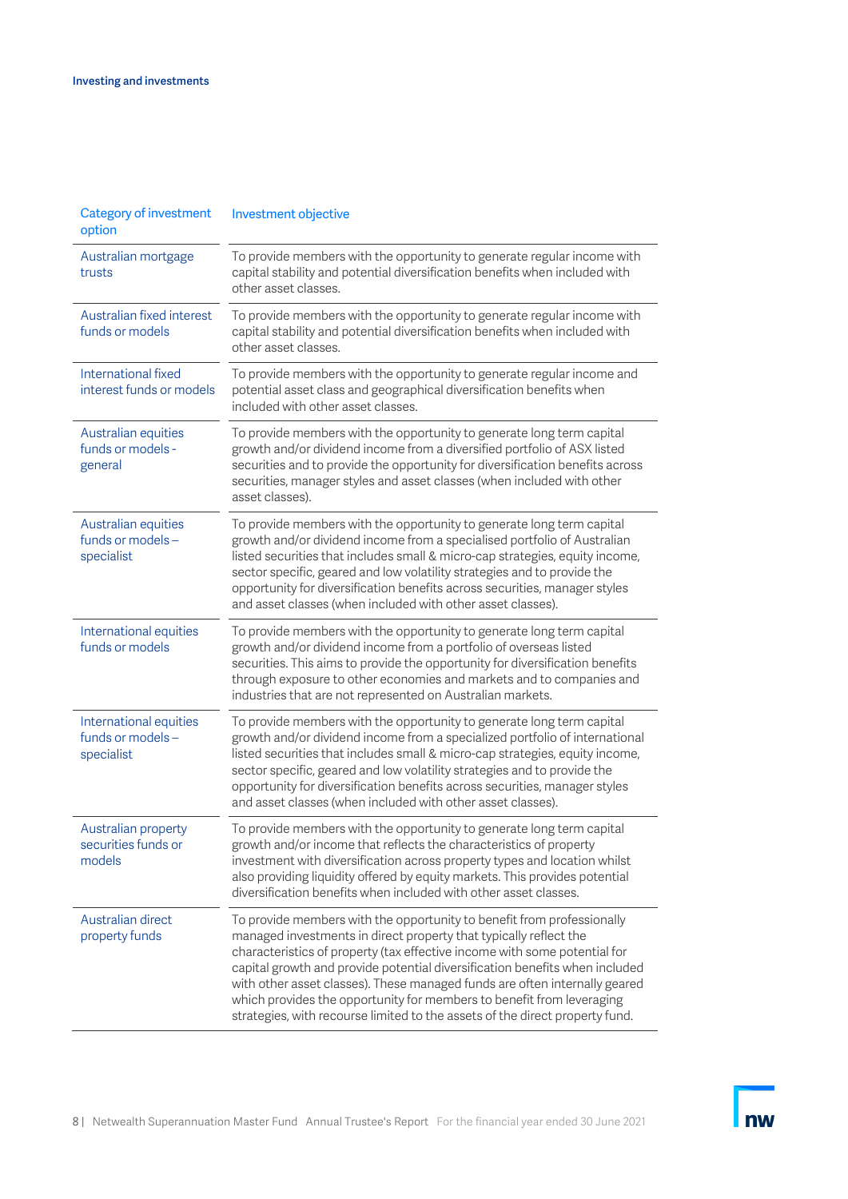| <b>Category of investment</b><br>option                   | Investment objective                                                                                                                                                                                                                                                                                                                                                                                                                                                                                                                           |
|-----------------------------------------------------------|------------------------------------------------------------------------------------------------------------------------------------------------------------------------------------------------------------------------------------------------------------------------------------------------------------------------------------------------------------------------------------------------------------------------------------------------------------------------------------------------------------------------------------------------|
| Australian mortgage<br>trusts                             | To provide members with the opportunity to generate regular income with<br>capital stability and potential diversification benefits when included with<br>other asset classes.                                                                                                                                                                                                                                                                                                                                                                 |
| Australian fixed interest<br>funds or models              | To provide members with the opportunity to generate regular income with<br>capital stability and potential diversification benefits when included with<br>other asset classes.                                                                                                                                                                                                                                                                                                                                                                 |
| International fixed<br>interest funds or models           | To provide members with the opportunity to generate regular income and<br>potential asset class and geographical diversification benefits when<br>included with other asset classes.                                                                                                                                                                                                                                                                                                                                                           |
| Australian equities<br>funds or models -<br>general       | To provide members with the opportunity to generate long term capital<br>growth and/or dividend income from a diversified portfolio of ASX listed<br>securities and to provide the opportunity for diversification benefits across<br>securities, manager styles and asset classes (when included with other<br>asset classes).                                                                                                                                                                                                                |
| Australian equities<br>funds or models -<br>specialist    | To provide members with the opportunity to generate long term capital<br>growth and/or dividend income from a specialised portfolio of Australian<br>listed securities that includes small & micro-cap strategies, equity income,<br>sector specific, geared and low volatility strategies and to provide the<br>opportunity for diversification benefits across securities, manager styles<br>and asset classes (when included with other asset classes).                                                                                     |
| International equities<br>funds or models                 | To provide members with the opportunity to generate long term capital<br>growth and/or dividend income from a portfolio of overseas listed<br>securities. This aims to provide the opportunity for diversification benefits<br>through exposure to other economies and markets and to companies and<br>industries that are not represented on Australian markets.                                                                                                                                                                              |
| International equities<br>funds or models -<br>specialist | To provide members with the opportunity to generate long term capital<br>growth and/or dividend income from a specialized portfolio of international<br>listed securities that includes small & micro-cap strategies, equity income,<br>sector specific, geared and low volatility strategies and to provide the<br>opportunity for diversification benefits across securities, manager styles<br>and asset classes (when included with other asset classes).                                                                                  |
| Australian property<br>securities funds or<br>models      | To provide members with the opportunity to generate long term capital<br>growth and/or income that reflects the characteristics of property<br>investment with diversification across property types and location whilst<br>also providing liquidity offered by equity markets. This provides potential<br>diversification benefits when included with other asset classes.                                                                                                                                                                    |
| Australian direct<br>property funds                       | To provide members with the opportunity to benefit from professionally<br>managed investments in direct property that typically reflect the<br>characteristics of property (tax effective income with some potential for<br>capital growth and provide potential diversification benefits when included<br>with other asset classes). These managed funds are often internally geared<br>which provides the opportunity for members to benefit from leveraging<br>strategies, with recourse limited to the assets of the direct property fund. |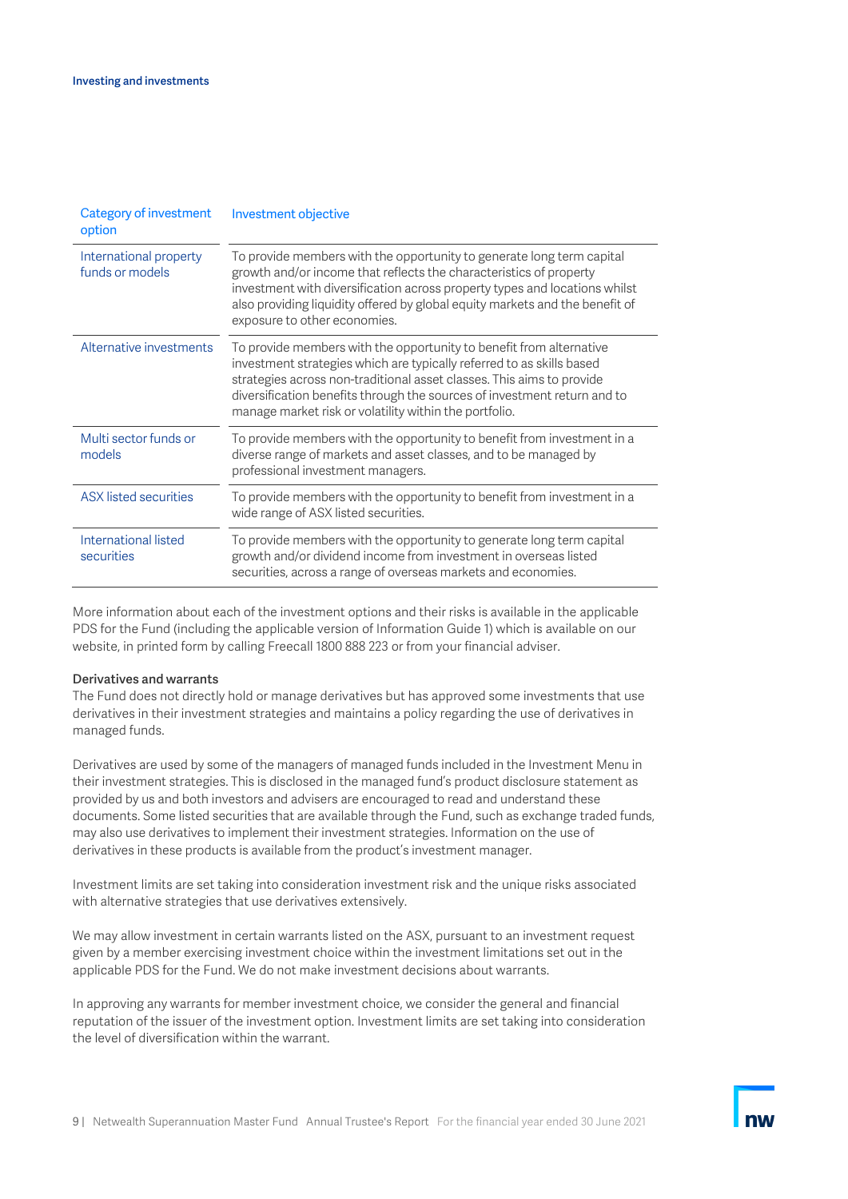| <b>Category of investment</b><br>option   | Investment objective                                                                                                                                                                                                                                                                                                                                        |
|-------------------------------------------|-------------------------------------------------------------------------------------------------------------------------------------------------------------------------------------------------------------------------------------------------------------------------------------------------------------------------------------------------------------|
| International property<br>funds or models | To provide members with the opportunity to generate long term capital<br>growth and/or income that reflects the characteristics of property<br>investment with diversification across property types and locations whilst<br>also providing liquidity offered by global equity markets and the benefit of<br>exposure to other economies.                   |
| Alternative investments                   | To provide members with the opportunity to benefit from alternative<br>investment strategies which are typically referred to as skills based<br>strategies across non-traditional asset classes. This aims to provide<br>diversification benefits through the sources of investment return and to<br>manage market risk or volatility within the portfolio. |
| Multi sector funds or<br>models           | To provide members with the opportunity to benefit from investment in a<br>diverse range of markets and asset classes, and to be managed by<br>professional investment managers.                                                                                                                                                                            |
| <b>ASX</b> listed securities              | To provide members with the opportunity to benefit from investment in a<br>wide range of ASX listed securities.                                                                                                                                                                                                                                             |
| International listed<br>securities        | To provide members with the opportunity to generate long term capital<br>growth and/or dividend income from investment in overseas listed<br>securities, across a range of overseas markets and economies.                                                                                                                                                  |

More information about each of the investment options and their risks is available in the applicable PDS for the Fund (including the applicable version of Information Guide 1) which is available on our website, in printed form by calling Freecall 1800 888 223 or from your financial adviser.

#### Derivatives and warrants

The Fund does not directly hold or manage derivatives but has approved some investments that use derivatives in their investment strategies and maintains a policy regarding the use of derivatives in managed funds.

Derivatives are used by some of the managers of managed funds included in the Investment Menu in their investment strategies. This is disclosed in the managed fund's product disclosure statement as provided by us and both investors and advisers are encouraged to read and understand these documents. Some listed securities that are available through the Fund, such as exchange traded funds, may also use derivatives to implement their investment strategies. Information on the use of derivatives in these products is available from the product's investment manager.

Investment limits are set taking into consideration investment risk and the unique risks associated with alternative strategies that use derivatives extensively.

We may allow investment in certain warrants listed on the ASX, pursuant to an investment request given by a member exercising investment choice within the investment limitations set out in the applicable PDS for the Fund. We do not make investment decisions about warrants.

In approving any warrants for member investment choice, we consider the general and financial reputation of the issuer of the investment option. Investment limits are set taking into consideration the level of diversification within the warrant.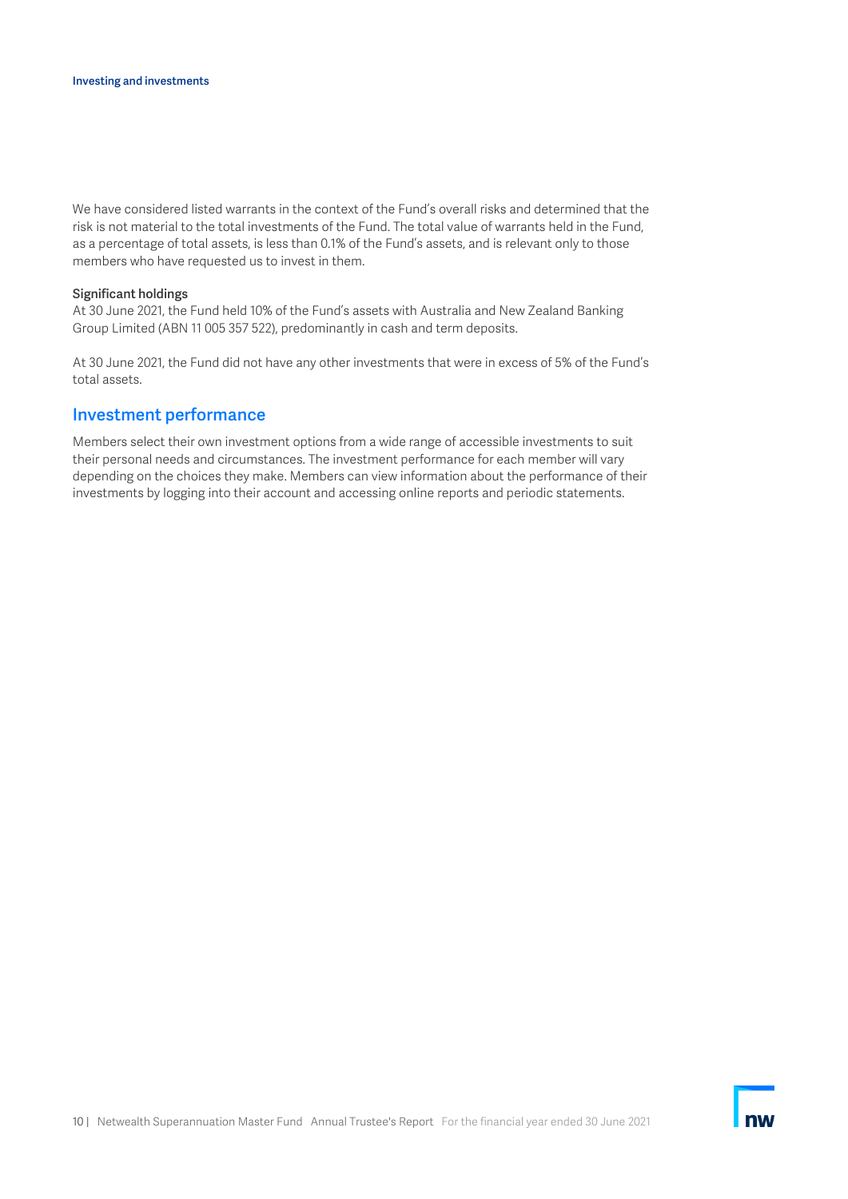We have considered listed warrants in the context of the Fund's overall risks and determined that the risk is not material to the total investments of the Fund. The total value of warrants held in the Fund, as a percentage of total assets, is less than 0.1% of the Fund's assets, and is relevant only to those members who have requested us to invest in them.

#### Significant holdings

At 30 June 2021, the Fund held 10% of the Fund's assets with Australia and New Zealand Banking Group Limited (ABN 11 005 357 522), predominantly in cash and term deposits.

At 30 June 2021, the Fund did not have any other investments that were in excess of 5% of the Fund's total assets.

### Investment performance

Members select their own investment options from a wide range of accessible investments to suit their personal needs and circumstances. The investment performance for each member will vary depending on the choices they make. Members can view information about the performance of their investments by logging into their account and accessing online reports and periodic statements.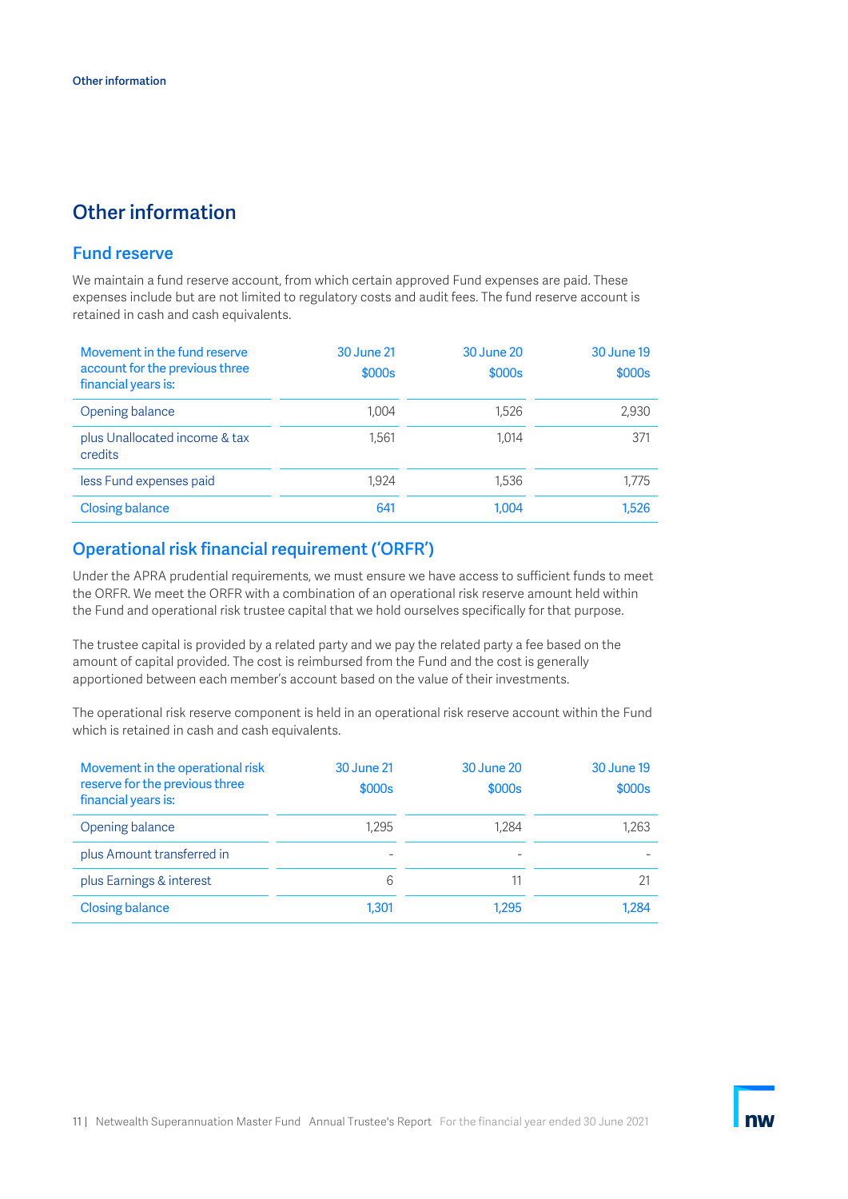## <span id="page-10-0"></span>Other information

## Fund reserve

We maintain a fund reserve account, from which certain approved Fund expenses are paid. These expenses include but are not limited to regulatory costs and audit fees. The fund reserve account is retained in cash and cash equivalents.

| Movement in the fund reserve<br>account for the previous three<br>financial years is: | <b>30 June 21</b><br>\$000s | <b>30 June 20</b><br>\$000s | 30 June 19<br>\$000s |
|---------------------------------------------------------------------------------------|-----------------------------|-----------------------------|----------------------|
| Opening balance                                                                       | 1.004                       | 1.526                       | 2,930                |
| plus Unallocated income & tax<br>credits                                              | 1.561                       | 1.014                       | 371                  |
| less Fund expenses paid                                                               | 1.924                       | 1.536                       | 1.775                |
| <b>Closing balance</b>                                                                | 641                         | 1.004                       | 1.526                |

## Operational risk financial requirement ('ORFR')

Under the APRA prudential requirements, we must ensure we have access to sufficient funds to meet the ORFR. We meet the ORFR with a combination of an operational risk reserve amount held within the Fund and operational risk trustee capital that we hold ourselves specifically for that purpose.

The trustee capital is provided by a related party and we pay the related party a fee based on the amount of capital provided. The cost is reimbursed from the Fund and the cost is generally apportioned between each member's account based on the value of their investments.

The operational risk reserve component is held in an operational risk reserve account within the Fund which is retained in cash and cash equivalents.

| Movement in the operational risk<br>reserve for the previous three<br>financial years is: | <b>30 June 21</b><br>\$000s | <b>30 June 20</b><br>\$000s | <b>30 June 19</b><br>\$000s |
|-------------------------------------------------------------------------------------------|-----------------------------|-----------------------------|-----------------------------|
| Opening balance                                                                           | 1.295                       | 1.284                       | 1.263                       |
| plus Amount transferred in                                                                |                             |                             |                             |
| plus Earnings & interest                                                                  | 6                           |                             |                             |
| <b>Closing balance</b>                                                                    | 1.301                       | 1.295                       | 1.284                       |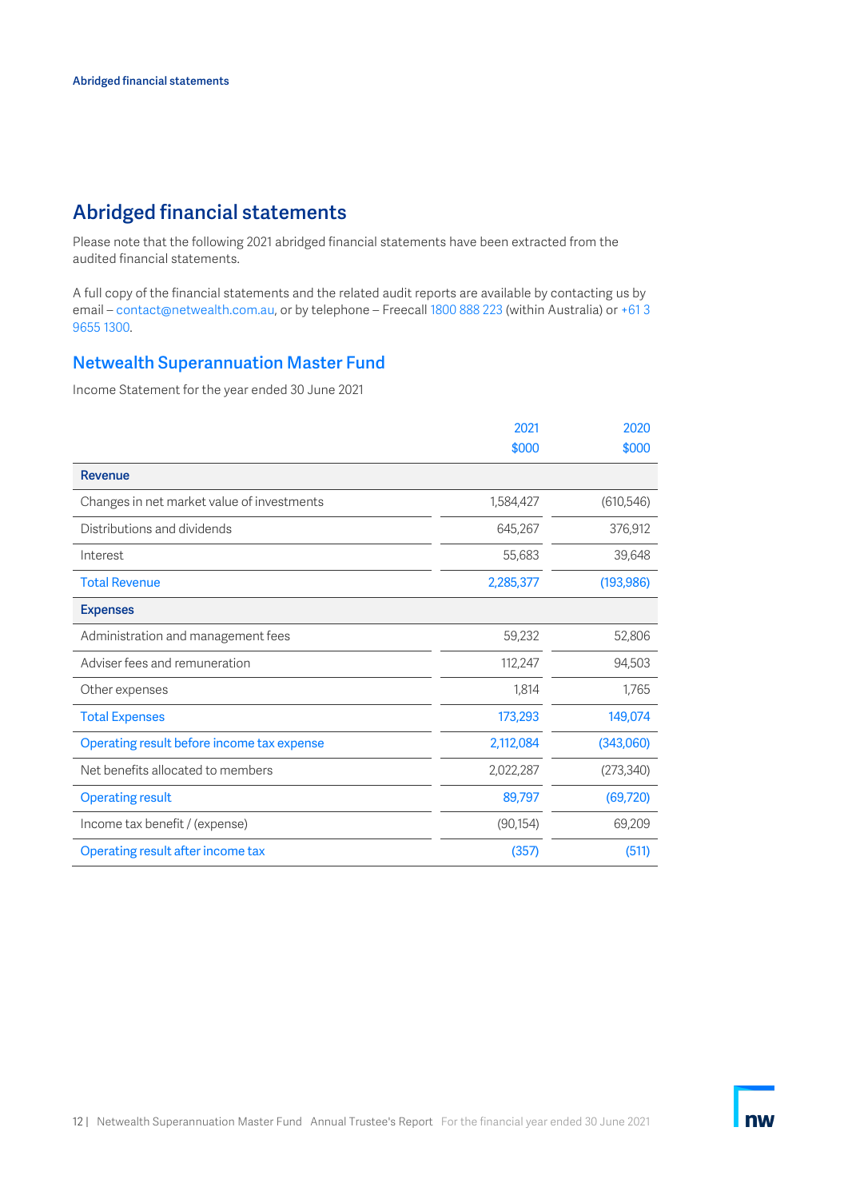## <span id="page-11-0"></span>Abridged financial statements

Please note that the following 2021 abridged financial statements have been extracted from the audited financial statements.

A full copy of the financial statements and the related audit reports are available by contacting us by email – contact@netwealth.com.au, or by telephone – Freecall 1800 888 223 (within Australia) or +61 3 9655 1300.

## Netwealth Superannuation Master Fund

Income Statement for the year ended 30 June 2021

|                                            | 2021      | 2020       |
|--------------------------------------------|-----------|------------|
|                                            | \$000     | \$000      |
| <b>Revenue</b>                             |           |            |
| Changes in net market value of investments | 1,584,427 | (610, 546) |
| Distributions and dividends                | 645,267   | 376,912    |
| Interest                                   | 55,683    | 39,648     |
| <b>Total Revenue</b>                       | 2,285,377 | (193, 986) |
| <b>Expenses</b>                            |           |            |
| Administration and management fees         | 59,232    | 52,806     |
| Adviser fees and remuneration              | 112,247   | 94,503     |
| Other expenses                             | 1,814     | 1,765      |
| <b>Total Expenses</b>                      | 173,293   | 149,074    |
| Operating result before income tax expense | 2,112,084 | (343,060)  |
| Net benefits allocated to members          | 2,022,287 | (273, 340) |
| <b>Operating result</b>                    | 89,797    | (69, 720)  |
| Income tax benefit / (expense)             | (90, 154) | 69,209     |
| Operating result after income tax          | (357)     | (511)      |